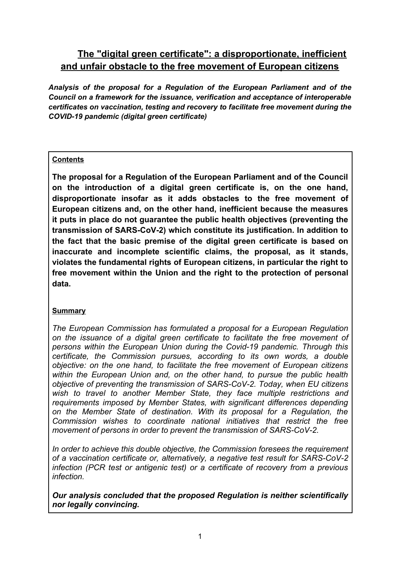# **The "digital green certificate": a disproportionate, inefficient and unfair obstacle to the free movement of European citizens**

*Analysis of the proposal for a Regulation of the European Parliament and of the Council on a framework for the issuance, verification and acceptance of interoperable certificates on vaccination, testing and recovery to facilitate free movement during the COVID-19 pandemic (digital green certificate)* 

#### **Contents**

**The proposal for a Regulation of the European Parliament and of the Council on the introduction of a digital green certificate is, on the one hand, disproportionate insofar as it adds obstacles to the free movement of European citizens and, on the other hand, inefficient because the measures it puts in place do not guarantee the public health objectives (preventing the transmission of SARS-CoV-2) which constitute its justification. In addition to the fact that the basic premise of the digital green certificate is based on inaccurate and incomplete scientific claims, the proposal, as it stands, violates the fundamental rights of European citizens, in particular the right to free movement within the Union and the right to the protection of personal data.**

#### **Summary**

*The European Commission has formulated a proposal for a European Regulation on the issuance of a digital green certificate to facilitate the free movement of persons within the European Union during the Covid-19 pandemic. Through this certificate, the Commission pursues, according to its own words, a double objective: on the one hand, to facilitate the free movement of European citizens within the European Union and, on the other hand, to pursue the public health objective of preventing the transmission of SARS-CoV-2. Today, when EU citizens wish to travel to another Member State, they face multiple restrictions and requirements imposed by Member States, with significant differences depending on the Member State of destination. With its proposal for a Regulation, the Commission wishes to coordinate national initiatives that restrict the free movement of persons in order to prevent the transmission of SARS-CoV-2.*

*In order to achieve this double objective, the Commission foresees the requirement of a vaccination certificate or, alternatively, a negative test result for SARS-CoV-2 infection (PCR test or antigenic test) or a certificate of recovery from a previous infection.*

*Our analysis concluded that the proposed Regulation is neither scientifically nor legally convincing.*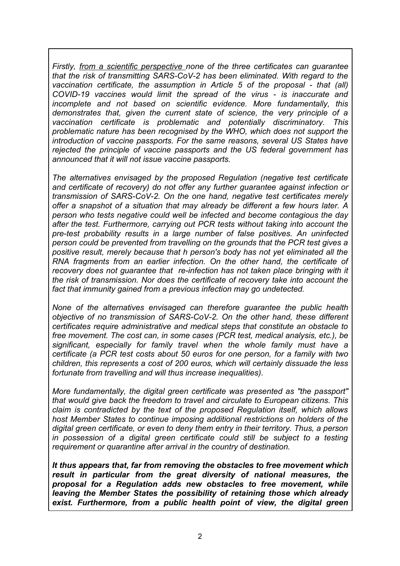*Firstly, from a scientific perspective none of the three certificates can guarantee that the risk of transmitting SARS-CoV-2 has been eliminated. With regard to the vaccination certificate, the assumption in Article 5 of the proposal - that (all) COVID-19 vaccines would limit the spread of the virus - is inaccurate and incomplete and not based on scientific evidence. More fundamentally, this demonstrates that, given the current state of science, the very principle of a vaccination certificate is problematic and potentially discriminatory. This problematic nature has been recognised by the WHO, which does not support the introduction of vaccine passports. For the same reasons, several US States have rejected the principle of vaccine passports and the US federal government has announced that it will not issue vaccine passports.* 

*The alternatives envisaged by the proposed Regulation (negative test certificate and certificate of recovery) do not offer any further guarantee against infection or transmission of SARS-CoV-2. On the one hand, negative test certificates merely offer a snapshot of a situation that may already be different a few hours later. A person who tests negative could well be infected and become contagious the day after the test. Furthermore, carrying out PCR tests without taking into account the pre-test probability results in a large number of false positives. An uninfected person could be prevented from travelling on the grounds that the PCR test gives a positive result, merely because that h person's body has not yet eliminated all the RNA fragments from an earlier infection. On the other hand, the certificate of recovery does not guarantee that re-infection has not taken place bringing with it the risk of transmission. Nor does the certificate of recovery take into account the fact that immunity gained from a previous infection may go undetected.*

*None of the alternatives envisaged can therefore guarantee the public health objective of no transmission of SARS-CoV-2. On the other hand, these different certificates require administrative and medical steps that constitute an obstacle to free movement. The cost can, in some cases (PCR test, medical analysis, etc.), be significant, especially for family travel when the whole family must have a certificate (a PCR test costs about 50 euros for one person, for a family with two children, this represents a cost of 200 euros, which will certainly dissuade the less fortunate from travelling and will thus increase inequalities).* 

*More fundamentally, the digital green certificate was presented as "the passport" that would give back the freedom to travel and circulate to European citizens. This claim is contradicted by the text of the proposed Regulation itself, which allows host Member States to continue imposing additional restrictions on holders of the digital green certificate, or even to deny them entry in their territory. Thus, a person in possession of a digital green certificate could still be subject to a testing requirement or quarantine after arrival in the country of destination.*

*It thus appears that, far from removing the obstacles to free movement which result in particular from the great diversity of national measures, the proposal for a Regulation adds new obstacles to free movement, while leaving the Member States the possibility of retaining those which already exist. Furthermore, from a public health point of view, the digital green*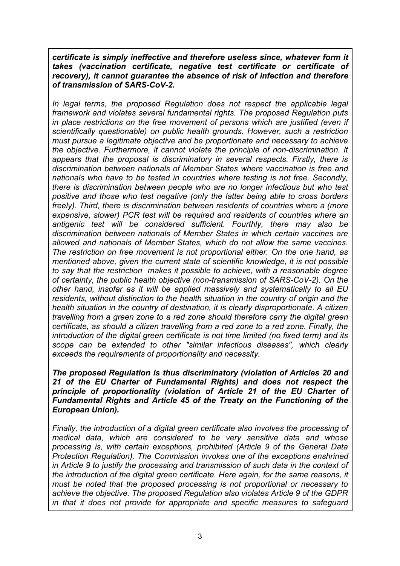*certificate is simply ineffective and therefore useless since, whatever form it takes (vaccination certificate, negative test certificate or certificate of recovery), it cannot guarantee the absence of risk of infection and therefore of transmission of SARS-CoV-2.*

*In legal terms, the proposed Regulation does not respect the applicable legal framework and violates several fundamental rights. The proposed Regulation puts in place restrictions on the free movement of persons which are justified (even if scientifically questionable) on public health grounds. However, such a restriction must pursue a legitimate objective and be proportionate and necessary to achieve the objective. Furthermore, it cannot violate the principle of non-discrimination. It appears that the proposal is discriminatory in several respects. Firstly, there is discrimination between nationals of Member States where vaccination is free and nationals who have to be tested in countries where testing is not free. Secondly, there is discrimination between people who are no longer infectious but who test positive and those who test negative (only the latter being able to cross borders freely). Third, there is discrimination between residents of countries where a (more expensive, slower) PCR test will be required and residents of countries where an antigenic test will be considered sufficient. Fourthly, there may also be discrimination between nationals of Member States in which certain vaccines are allowed and nationals of Member States, which do not allow the same vaccines. The restriction on free movement is not proportional either. On the one hand, as mentioned above, given the current state of scientific knowledge, it is not possible to say that the restriction makes it possible to achieve, with a reasonable degree of certainty, the public health objective (non-transmission of SARS-CoV-2). On the other hand, insofar as it will be applied massively and systematically to all EU residents, without distinction to the health situation in the country of origin and the health situation in the country of destination, it is clearly disproportionate. A citizen travelling from a green zone to a red zone should therefore carry the digital green certificate, as should a citizen travelling from a red zone to a red zone. Finally, the introduction of the digital green certificate is not time limited (no fixed term) and its scope can be extended to other "similar infectious diseases", which clearly exceeds the requirements of proportionality and necessity.*

*The proposed Regulation is thus discriminatory (violation of Articles 20 and 21 of the EU Charter of Fundamental Rights) and does not respect the principle of proportionality (violation of Article 21 of the EU Charter of Fundamental Rights and Article 45 of the Treaty on the Functioning of the European Union).*

*Finally, the introduction of a digital green certificate also involves the processing of medical data, which are considered to be very sensitive data and whose processing is, with certain exceptions, prohibited (Article 9 of the General Data Protection Regulation). The Commission invokes one of the exceptions enshrined in Article 9 to justify the processing and transmission of such data in the context of the introduction of the digital green certificate. Here again, for the same reasons, it must be noted that the proposed processing is not proportional or necessary to achieve the objective. The proposed Regulation also violates Article 9 of the GDPR in that it does not provide for appropriate and specific measures to safeguard*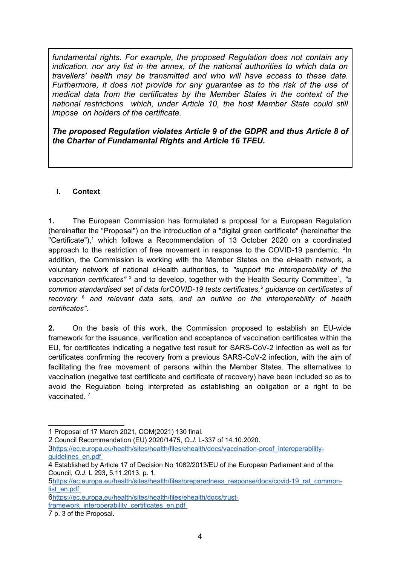*fundamental rights. For example, the proposed Regulation does not contain any indication, nor any list in the annex, of the national authorities to which data on travellers' health may be transmitted and who will have access to these data. Furthermore, it does not provide for any guarantee as to the risk of the use of medical data from the certificates by the Member States in the context of the national restrictions which, under Article 10, the host Member State could still impose on holders of the certificate.*

*The proposed Regulation violates Article 9 of the GDPR and thus Article 8 of the Charter of Fundamental Rights and Article 16 TFEU.*

### **I. Context**

**1.** The European Commission has formulated a proposal for a European Regulation (hereinafter the "Proposal") on the introduction of a "digital green certificate" (hereinafter the "Certificate"),<sup>[1](#page-3-0)</sup> which follows a Recommendation of 13 October 2020 on a coordinated approachto the restriction of free movement in response to the COVID-19 pandemic. <sup>2</sup>In addition, the Commission is working with the Member States on the eHealth network, a voluntary network of national eHealth authorities, to *"support the interoperability of the* vaccination certificates"<sup>[3](#page-3-2)</sup> and to develop, together with the Health Security Committee<sup>[4](#page-3-3)</sup>, "a *common standardised set of data forCOVID-19 tests certificates,*[5](#page-3-4)  *guidance* on *certificates of recovery*<sup>6</sup>  *and relevant data sets, and an outline on the interoperability of health certificates"*.

**2.** On the basis of this work, the Commission proposed to establish an EU-wide framework for the issuance, verification and acceptance of vaccination certificates within the EU, for certificates indicating a negative test result for SARS-CoV-2 infection as well as for certificates confirming the recovery from a previous SARS-CoV-2 infection, with the aim of facilitating the free movement of persons within the Member States. The alternatives to vaccination (negative test certificate and certificate of recovery) have been included so as to avoid the Regulation being interpreted as establishing an obligation or a right to be vaccinated. [7](#page-3-6)

<span id="page-3-5"></span>6https://ec.europa.eu/health/sites/health/files/ehealth/docs/trustframework\_interoperability\_certificates\_en.pdf

<span id="page-3-0"></span><sup>1</sup> Proposal of 17 March 2021, COM(2021) 130 final.

<span id="page-3-1"></span><sup>2</sup> Council Recommendation (EU) 2020/1475, *O.J.* L-337 of 14.10.2020.

<span id="page-3-2"></span><sup>3</sup> https://ec.europa.eu/health/sites/health/files/ehealth/docs/vaccination-proof\_interoperabilityguidelines\_en.pdf

<span id="page-3-3"></span><sup>4</sup> Established by Article 17 of Decision No 1082/2013/EU of the European Parliament and of the Council, *O.J.* L 293, 5.11.2013, p. 1.

<span id="page-3-4"></span><sup>5</sup>https://ec.europa.eu/health/sites/health/files/preparedness\_response/docs/covid-19\_rat\_commonlist\_en.pdf

<span id="page-3-6"></span><sup>7</sup> p. 3 of the Proposal.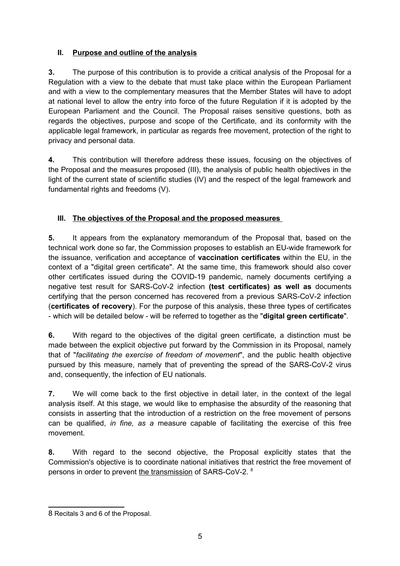# **II. Purpose and outline of the analysis**

**3.** The purpose of this contribution is to provide a critical analysis of the Proposal for a Regulation with a view to the debate that must take place within the European Parliament and with a view to the complementary measures that the Member States will have to adopt at national level to allow the entry into force of the future Regulation if it is adopted by the European Parliament and the Council. The Proposal raises sensitive questions, both as regards the objectives, purpose and scope of the Certificate, and its conformity with the applicable legal framework, in particular as regards free movement, protection of the right to privacy and personal data.

**4.** This contribution will therefore address these issues, focusing on the objectives of the Proposal and the measures proposed (III), the analysis of public health objectives in the light of the current state of scientific studies (IV) and the respect of the legal framework and fundamental rights and freedoms (V).

# **III. The objectives of the Proposal and the proposed measures**

**5.** It appears from the explanatory memorandum of the Proposal that, based on the technical work done so far, the Commission proposes to establish an EU-wide framework for the issuance, verification and acceptance of **vaccination certificates** within the EU, in the context of a "digital green certificate". At the same time, this framework should also cover other certificates issued during the COVID-19 pandemic, namely documents certifying a negative test result for SARS-CoV-2 infection **(test certificates) as well as** documents certifying that the person concerned has recovered from a previous SARS-CoV-2 infection (**certificates of recovery**). For the purpose of this analysis, these three types of certificates - which will be detailed below - will be referred to together as the "**digital green certificate**".

**6.** With regard to the objectives of the digital green certificate, a distinction must be made between the explicit objective put forward by the Commission in its Proposal, namely that of "*facilitating the exercise of freedom of movement*", and the public health objective pursued by this measure, namely that of preventing the spread of the SARS-CoV-2 virus and, consequently, the infection of EU nationals.

**7.** We will come back to the first objective in detail later, in the context of the legal analysis itself. At this stage, we would like to emphasise the absurdity of the reasoning that consists in asserting that the introduction of a restriction on the free movement of persons can be qualified, *in fine, as a* measure capable of facilitating the exercise of this free movement.

**8.** With regard to the second objective, the Proposal explicitly states that the Commission's objective is to coordinate national initiatives that restrict the free movement of persons in order to prevent the transmission of SARS-CoV-2. [8](#page-4-0)

<span id="page-4-0"></span><sup>8</sup> Recitals 3 and 6 of the Proposal.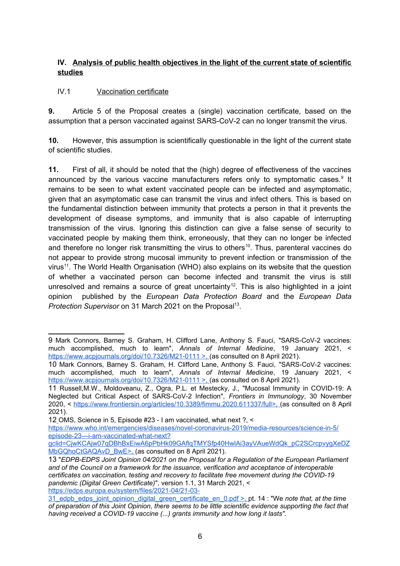#### **IV. Analysis of public health objectives in the light of the current state of scientific studies**

### IV.1 Vaccination certificate

**9.** Article 5 of the Proposal creates a (single) vaccination certificate, based on the assumption that a person vaccinated against SARS-CoV-2 can no longer transmit the virus.

**10.** However, this assumption is scientifically questionable in the light of the current state of scientific studies.

**11.** First of all, it should be noted that the (high) degree of effectiveness of the vaccines announced by the various vaccine manufacturers refers only to symptomatic cases.<sup>[9](#page-5-0)</sup> It remains to be seen to what extent vaccinated people can be infected and asymptomatic, given that an asymptomatic case can transmit the virus and infect others. This is based on the fundamental distinction between immunity that protects a person in that it prevents the development of disease symptoms, and immunity that is also capable of interrupting transmission of the virus. Ignoring this distinction can give a false sense of security to vaccinated people by making them think, erroneously, that they can no longer be infected and therefore no longer risk transmitting the virus to others<sup>[10](#page-5-1)</sup>. Thus, parenteral vaccines do not appear to provide strong mucosal immunity to prevent infection or transmission of the virus<sup>[11](#page-5-2)</sup>. The World Health Organisation (WHO) also explains on its website that the question of whether a vaccinated person can become infected and transmit the virus is still unresolved and remains a source of great uncertainty<sup>[12](#page-5-3)</sup>. This is also highlighted in a joint opinion published by the *European Data Protection Board* and the *European Data* Protection Supervisor on 31 March 2021 on the Proposal<sup>[13](#page-5-4)</sup>.

<span id="page-5-0"></span><sup>9</sup> Mark Connors, Barney S. Graham, H. Clifford Lane, Anthony S. Fauci, "SARS-CoV-2 vaccines: much accomplished, much to learn", *Annals of Internal Medicine*, 19 January 2021, < https://www.acpjournals.org/doi/10.7326/M21-0111 >, (as consulted on 8 April 2021).

<span id="page-5-1"></span><sup>10</sup> Mark Connors, Barney S. Graham, H. Clifford Lane, Anthony S. Fauci, "SARS-CoV-2 vaccines: much accomplished, much to learn", *Annals of Internal Medicine*, 19 January 2021, < https://www.acpjournals.org/doi/10.7326/M21-0111 >, (as consulted on 8 April 2021).

<span id="page-5-2"></span><sup>11</sup> Russell,M.W., Moldoveanu, Z., Ogra, P.L. et Mestecky, J., "Mucosal Immunity in COVID-19: A Neglected but Critical Aspect of SARS-CoV-2 Infection", *Frontiers in Immunology*, 30 November 2020, < https://www.frontiersin.org/articles/10.3389/fimmu.2020.611337/full>, (as consulted on 8 April 2021).

<span id="page-5-3"></span><sup>12</sup> OMS, Science in 5, Episode #23 - I am vaccinated, what next ?, <

https://www.who.int/emergencies/diseases/novel-coronavirus-2019/media-resources/science-in-5/ episode-23---i-am-vaccinated-what-next?

gclid=CjwKCAjw07qDBhBxEiwA6pPbHk09GAflqTMYSfp40HwlAi3ayVAueWdQk\_pC2SCrcpvygXeDZ MbGQhoCtGAQAvD\_BwE>, (as consulted on 8 April 2021).

<span id="page-5-4"></span><sup>13</sup> "*EDPB-EDPS Joint Opinion 04/2021 on the Proposal for a Regulation of the European Parliament and of the Council on a framework for the issuance, verification and acceptance of interoperable certificates on vaccination, testing and recovery to facilitate free movement during the COVID-19 pandemic (Digital Green Certificate)*", version 1.1, 31 March 2021, < https://edps.europa.eu/system/files/2021-04/21-03-

<sup>31</sup>\_edpb\_edps\_joint\_opinion\_digital\_green\_certificate\_en\_0.pdf >, pt. 14 : "We *note that, at the time of preparation of this Joint Opinion, there seems to be little scientific evidence supporting the fact that having received a COVID-19 vaccine (...) grants immunity and how long it lasts".*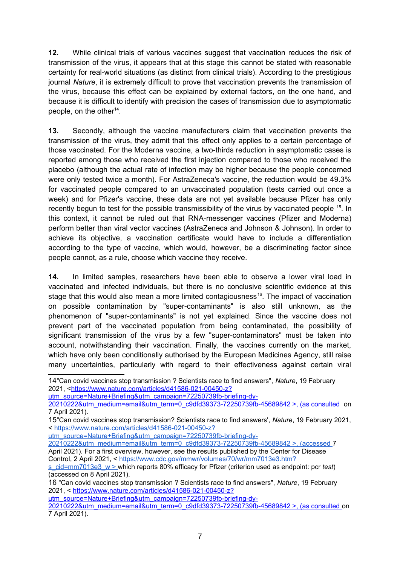**12.** While clinical trials of various vaccines suggest that vaccination reduces the risk of transmission of the virus, it appears that at this stage this cannot be stated with reasonable certainty for real-world situations (as distinct from clinical trials). According to the prestigious journal *Nature*, it is extremely difficult to prove that vaccination prevents the transmission of the virus, because this effect can be explained by external factors, on the one hand, and because it is difficult to identify with precision the cases of transmission due to asymptomatic people, on the other $14$ .

**13.** Secondly, although the vaccine manufacturers claim that vaccination prevents the transmission of the virus, they admit that this effect only applies to a certain percentage of those vaccinated. For the Moderna vaccine, a two-thirds reduction in asymptomatic cases is reported among those who received the first injection compared to those who received the placebo (although the actual rate of infection may be higher because the people concerned were only tested twice a month). For AstraZeneca's vaccine, the reduction would be 49.3% for vaccinated people compared to an unvaccinated population (tests carried out once a week) and for Pfizer's vaccine, these data are not yet available because Pfizer has only recently begun to test for the possible transmissibility of the virus by vaccinated people <sup>[15](#page-6-1)</sup>. In this context, it cannot be ruled out that RNA-messenger vaccines (Pfizer and Moderna) perform better than viral vector vaccines (AstraZeneca and Johnson & Johnson). In order to achieve its objective, a vaccination certificate would have to include a differentiation according to the type of vaccine, which would, however, be a discriminating factor since people cannot, as a rule, choose which vaccine they receive.

**14.** In limited samples, researchers have been able to observe a lower viral load in vaccinated and infected individuals, but there is no conclusive scientific evidence at this stage that this would also mean a more limited contagiousness<sup>[16](#page-6-2)</sup>. The impact of vaccination on possible contamination by "super-contaminants" is also still unknown, as the phenomenon of "super-contaminants" is not yet explained. Since the vaccine does not prevent part of the vaccinated population from being contaminated, the possibility of significant transmission of the virus by a few "super-contaminators" must be taken into account, notwithstanding their vaccination. Finally, the vaccines currently on the market, which have only been conditionally authorised by the European Medicines Agency, still raise many uncertainties, particularly with regard to their effectiveness against certain viral

[utm\\_source=Nature+Briefing&utm\\_campaign=72250739fb-briefing-dy-](https://www.nature.com/articles/d41586-021-00450-z?utm_source=Nature+Briefing&utm_campaign=72250739fb-briefing-dy-20210222&utm_medium=email&utm_term=0_c9dfd39373-72250739fb-45689842%20%3E,%20(as%20consulted%20)

utm\_source=Nature+Briefing&utm\_campaign=72250739fb-briefing-dy-

[utm\\_source=Nature+Briefing&utm\\_campaign=72250739fb-briefing-dy-](https://www.nature.com/articles/d41586-021-00450-z?utm_source=Nature+Briefing&utm_campaign=72250739fb-briefing-dy-20210222&utm_medium=email&utm_term=0_c9dfd39373-72250739fb-45689842%20%3E,%20(as%20consulted%20)

<span id="page-6-0"></span><sup>14</sup>"Can covid vaccines stop transmission ? Scientists race to find answers", *Nature*, 19 February 2021, <[https://www.nature.com/articles/d41586-021-00450-z?](https://www.nature.com/articles/d41586-021-00450-z?utm_source=Nature+Briefing&utm_campaign=72250739fb-briefing-dy-20210222&utm_medium=email&utm_term=0_c9dfd39373-72250739fb-45689842%20%3E,%20(as%20consulted%20)

[<sup>20210222&</sup>amp;utm\\_medium=email&utm\\_term=0\\_c9dfd39373-72250739fb-45689842 >, \(as consulted](https://www.nature.com/articles/d41586-021-00450-z?utm_source=Nature+Briefing&utm_campaign=72250739fb-briefing-dy-20210222&utm_medium=email&utm_term=0_c9dfd39373-72250739fb-45689842%20%3E,%20(as%20consulted%20) on 7 April 2021).

<span id="page-6-1"></span><sup>15</sup>"Can covid vaccines stop transmission? Scientists race to find answers', *Nature*, 19 February 2021, < https://www.nature.com/articles/d41586-021-00450-z?

<sup>20210222&</sup>amp;utm\_medium=email&utm\_term=0\_c9dfd39373-72250739fb-45689842 >, (accessed 7 April 2021). For a first overview, however, see the results published by the Center for Disease Control, 2 April 2021, < https://www.cdc.gov/mmwr/volumes/70/wr/mm7013e3.htm?

s\_cid=mm7013e3\_w > which reports 80% efficacy for Pfizer (criterion used as endpoint*:* pcr *test*) (accessed on 8 April 2021).

<span id="page-6-2"></span><sup>16</sup> "Can covid vaccines stop transmission ? Scientists race to find answers", *Nature*, 19 February 2021, < [https://www.nature.com/articles/d41586-021-00450-z?](https://www.nature.com/articles/d41586-021-00450-z?utm_source=Nature+Briefing&utm_campaign=72250739fb-briefing-dy-20210222&utm_medium=email&utm_term=0_c9dfd39373-72250739fb-45689842%20%3E,%20(as%20consulted%20)

[<sup>20210222&</sup>amp;utm\\_medium=email&utm\\_term=0\\_c9dfd39373-72250739fb-45689842 >, \(as consulted](https://www.nature.com/articles/d41586-021-00450-z?utm_source=Nature+Briefing&utm_campaign=72250739fb-briefing-dy-20210222&utm_medium=email&utm_term=0_c9dfd39373-72250739fb-45689842%20%3E,%20(as%20consulted%20) on 7 April 2021).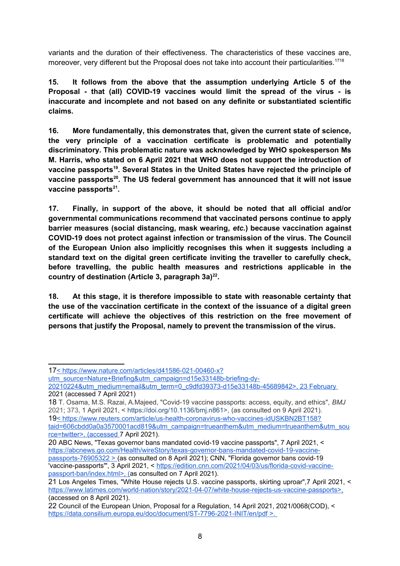variants and the duration of their effectiveness. The characteristics of these vaccines are, moreover, very different but the Proposal does not take into account their particularities.<sup>[17](#page-7-0)[18](#page-7-1)</sup>

**15. It follows from the above that the assumption underlying Article 5 of the Proposal - that (all) COVID-19 vaccines would limit the spread of the virus - is inaccurate and incomplete and not based on any definite or substantiated scientific claims.**

**16. More fundamentally, this demonstrates that, given the current state of science, the very principle of a vaccination certificate is problematic and potentially discriminatory. This problematic nature was acknowledged by WHO spokesperson Ms M. Harris, who stated on 6 April 2021 that WHO does not support the introduction of vaccine passports[19](#page-7-2). Several States in the United States have rejected the principle of vaccine passports[20](#page-7-3). The US federal government has announced that it will not issue vaccine passports[21](#page-7-4) .**

**17. Finally, in support of the above, it should be noted that all official and/or governmental communications recommend that vaccinated persons continue to apply barrier measures (social distancing, mask wearing,** *etc.***) because vaccination against COVID-19 does not protect against infection or transmission of the virus. The Council of the European Union also implicitly recognises this when it suggests including a standard text on the digital green certificate inviting the traveller to carefully check, before travelling, the public health measures and restrictions applicable in the country of destination (Article 3, paragraph 3a)[22](#page-7-5) .**

**18. At this stage, it is therefore impossible to state with reasonable certainty that the use of the vaccination certificate in the context of the issuance of a digital green certificate will achieve the objectives of this restriction on the free movement of persons that justify the Proposal, namely to prevent the transmission of the virus.** 

<span id="page-7-0"></span><sup>17</sup> < https://www.nature.com/articles/d41586-021-00460-x?

utm\_source=Nature+Briefing&utm\_campaign=d15e33148b-briefing-dy-

<sup>20210224&</sup>amp;utm\_medium=email&utm\_term=0\_c9dfd39373-d15e33148b-45689842>, 23 February 2021 (accessed 7 April 2021)

<span id="page-7-2"></span><span id="page-7-1"></span><sup>18</sup> T. Osama, M.S. Razai, A.Majeed, "Covid-19 vaccine passports: access, equity, and ethics", *BMJ*  2021; 373, 1 April 2021, < https://doi.org/10.1136/bmj.n861>, (as consulted on 9 April 2021). 19 < https://www.reuters.com/article/us-health-coronavirus-who-vaccines-idUSKBN2BT158? taid=606cbdd0a0a3570001acd819&utm\_campaign=trueanthem&utm\_medium=trueanthem&utm\_sou rce=twitter>, (accessed 7 April 2021).

<span id="page-7-3"></span><sup>20</sup> ABC News, "Texas governor bans mandated covid-19 vaccine passports", 7 April 2021, < https://abcnews.go.com/Health/wireStory/texas-governor-bans-mandated-covid-19-vaccinepassports-76905322 > (as consulted on 8 April 2021); CNN, "Florida governor bans covid-19 'vaccine-passports'", 3 April 2021, < https://edition.cnn.com/2021/04/03/us/florida-covid-vaccinepassport-ban/index.html>, (as consulted on 7 April 2021).

<span id="page-7-4"></span><sup>21</sup> Los Angeles Times, "White House rejects U.S. vaccine passports, skirting uproar",7 April 2021, < https://www.latimes.com/world-nation/story/2021-04-07/white-house-rejects-us-vaccine-passports>, (accessed on 8 April 2021).

<span id="page-7-5"></span><sup>22</sup> Council of the European Union, Proposal for a Regulation, 14 April 2021, 2021/0068(COD), < https://data.consilium.europa.eu/doc/document/ST-7796-2021-INIT/en/pdf >.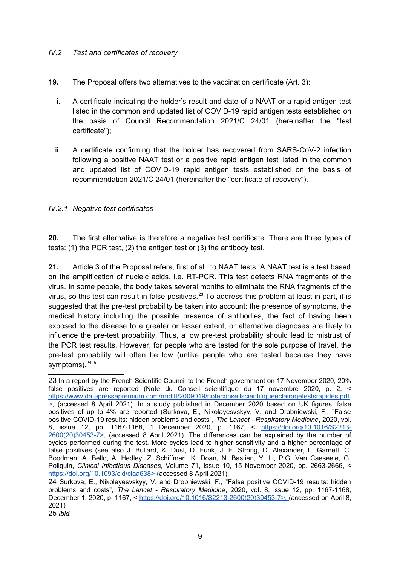#### *IV.2 Test and certificates of recovery*

- **19.** The Proposal offers two alternatives to the vaccination certificate (Art. 3):
	- i. A certificate indicating the holder's result and date of a NAAT or a rapid antigen test listed in the common and updated list of COVID-19 rapid antigen tests established on the basis of Council Recommendation 2021/C 24/01 (hereinafter the "test certificate");
	- ii. A certificate confirming that the holder has recovered from SARS-CoV-2 infection following a positive NAAT test or a positive rapid antigen test listed in the common and updated list of COVID-19 rapid antigen tests established on the basis of recommendation 2021/C 24/01 (hereinafter the "certificate of recovery").

#### *IV.2.1 Negative test certificates*

**20.** The first alternative is therefore a negative test certificate. There are three types of tests: (1) the PCR test, (2) the antigen test or (3) the antibody test.

**21.** Article 3 of the Proposal refers, first of all, to NAAT tests. A NAAT test is a test based on the amplification of nucleic acids, i.e. RT-PCR. This test detects RNA fragments of the virus. In some people, the body takes several months to eliminate the RNA fragments of the virus, so this test can result in false positives.<sup>[23](#page-8-0)</sup> To address this problem at least in part, it is suggested that the pre-test probability be taken into account: the presence of symptoms, the medical history including the possible presence of antibodies, the fact of having been exposed to the disease to a greater or lesser extent, or alternative diagnoses are likely to influence the pre-test probability. Thus, a low pre-test probability should lead to mistrust of the PCR test results. However, for people who are tested for the sole purpose of travel, the pre-test probability will often be low (unlike people who are tested because they have symptoms).<sup>[24](#page-8-1)[25](#page-8-2)</sup>

<span id="page-8-0"></span><sup>23</sup> In a report by the French Scientific Council to the French government on 17 November 2020, 20% false positives are reported (Note du Conseil scientifique du 17 novembre 2020, p. 2, < https://www.datapressepremium.com/rmdiff/2009019/noteconseilscientifiqueeclairagetestsrapides.pdf >, (accessed 8 April 2021). In a study published in December 2020 based on UK figures, false positives of up to 4% are reported (Surkova, E., Nikolayesvskyy, V. and Drobniewski, F., "False positive COVID-19 results: hidden problems and costs", *The Lancet - Respiratory Medicine*, 2020, vol. 8, issue 12, pp. 1167-1168, 1 December 2020, p. 1167, < https://doi.org/10.1016/S2213-2600(20)30453-7>, (accessed 8 April 2021). The differences can be explained by the number of cycles performed during the test. More cycles lead to higher sensitivity and a higher percentage of false positives (see also J. Bullard, K. Dust, D. Funk, J. E. Strong, D. Alexander, L. Garnett, C. Boodman, A. Bello, A. Hedley, Z. Schiffman, K. Doan, N. Bastien, Y. Li, P.G. Van Caeseele, G. Poliquin, *Clinical Infectious Diseases*, Volume 71, Issue 10, 15 November 2020, pp. 2663-2666, < https://doi.org/10.1093/cid/ciaa638> (accessed 8 April 2021).

<span id="page-8-2"></span><span id="page-8-1"></span><sup>24</sup> Surkova, E., Nikolayesvskyy, V. and Drobniewski, F., "False positive COVID-19 results: hidden problems and costs", *The Lancet - Respiratory Medicine*, 2020, vol. 8, issue 12, pp. 1167-1168, December 1, 2020, p. 1167, < https://doi.org/10.1016/S2213-2600(20)30453-7>, (accessed on April 8, 2021) 25 *Ibid.*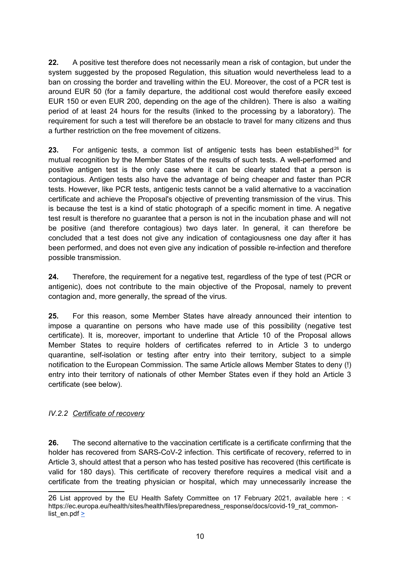**22.** A positive test therefore does not necessarily mean a risk of contagion, but under the system suggested by the proposed Regulation, this situation would nevertheless lead to a ban on crossing the border and travelling within the EU. Moreover, the cost of a PCR test is around EUR 50 (for a family departure, the additional cost would therefore easily exceed EUR 150 or even EUR 200, depending on the age of the children). There is also a waiting period of at least 24 hours for the results (linked to the processing by a laboratory). The requirement for such a test will therefore be an obstacle to travel for many citizens and thus a further restriction on the free movement of citizens.

**23.** For antigenic tests, a common list of antigenic tests has been established<sup>[26](#page-9-0)</sup> for mutual recognition by the Member States of the results of such tests. A well-performed and positive antigen test is the only case where it can be clearly stated that a person is contagious. Antigen tests also have the advantage of being cheaper and faster than PCR tests. However, like PCR tests, antigenic tests cannot be a valid alternative to a vaccination certificate and achieve the Proposal's objective of preventing transmission of the virus. This is because the test is a kind of static photograph of a specific moment in time. A negative test result is therefore no guarantee that a person is not in the incubation phase and will not be positive (and therefore contagious) two days later. In general, it can therefore be concluded that a test does not give any indication of contagiousness one day after it has been performed, and does not even give any indication of possible re-infection and therefore possible transmission.

**24.** Therefore, the requirement for a negative test, regardless of the type of test (PCR or antigenic), does not contribute to the main objective of the Proposal, namely to prevent contagion and, more generally, the spread of the virus.

**25.** For this reason, some Member States have already announced their intention to impose a quarantine on persons who have made use of this possibility (negative test certificate). It is, moreover, important to underline that Article 10 of the Proposal allows Member States to require holders of certificates referred to in Article 3 to undergo quarantine, self-isolation or testing after entry into their territory, subject to a simple notification to the European Commission. The same Article allows Member States to deny (!) entry into their territory of nationals of other Member States even if they hold an Article 3 certificate (see below).

#### *IV.2.2 Certificate of recovery*

**26.** The second alternative to the vaccination certificate is a certificate confirming that the holder has recovered from SARS-CoV-2 infection. This certificate of recovery, referred to in Article 3, should attest that a person who has tested positive has recovered (this certificate is valid for 180 days). This certificate of recovery therefore requires a medical visit and a certificate from the treating physician or hospital, which may unnecessarily increase the

<span id="page-9-0"></span><sup>26</sup> List approved by the EU Health Safety Committee on 17 February 2021, available here : < https://ec.europa.eu/health/sites/health/files/preparedness\_response/docs/covid-19\_rat\_commonlist\_en.pdf  $\geq$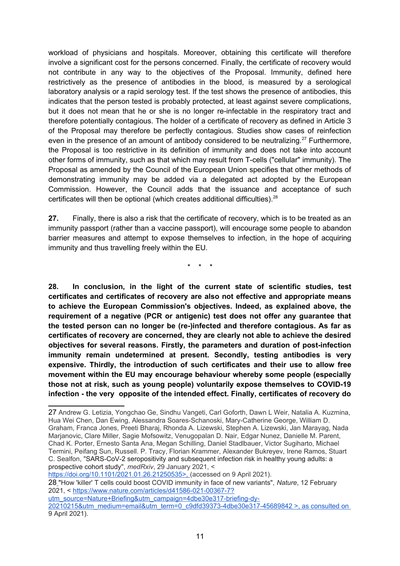workload of physicians and hospitals. Moreover, obtaining this certificate will therefore involve a significant cost for the persons concerned. Finally, the certificate of recovery would not contribute in any way to the objectives of the Proposal. Immunity, defined here restrictively as the presence of antibodies in the blood, is measured by a serological laboratory analysis or a rapid serology test. If the test shows the presence of antibodies, this indicates that the person tested is probably protected, at least against severe complications, but it does not mean that he or she is no longer re-infectable in the respiratory tract and therefore potentially contagious. The holder of a certificate of recovery as defined in Article 3 of the Proposal may therefore be perfectly contagious. Studies show cases of reinfection even in the presence of an amount of antibody considered to be neutralizing.<sup>[27](#page-10-0)</sup> Furthermore, the Proposal is too restrictive in its definition of immunity and does not take into account other forms of immunity, such as that which may result from T-cells ("cellular" immunity). The Proposal as amended by the Council of the European Union specifies that other methods of demonstrating immunity may be added via a delegated act adopted by the European Commission. However, the Council adds that the issuance and acceptance of such certificates will then be optional (which creates additional difficulties).<sup>[28](#page-10-1)</sup>

**27.** Finally, there is also a risk that the certificate of recovery, which is to be treated as an immunity passport (rather than a vaccine passport), will encourage some people to abandon barrier measures and attempt to expose themselves to infection, in the hope of acquiring immunity and thus travelling freely within the EU.

\* \* \*

**28. In conclusion, in the light of the current state of scientific studies, test certificates and certificates of recovery are also not effective and appropriate means to achieve the European Commission's objectives. Indeed, as explained above, the requirement of a negative (PCR or antigenic) test does not offer any guarantee that the tested person can no longer be (re-)infected and therefore contagious. As far as certificates of recovery are concerned, they are clearly not able to achieve the desired objectives for several reasons. Firstly, the parameters and duration of post-infection immunity remain undetermined at present. Secondly, testing antibodies is very expensive. Thirdly, the introduction of such certificates and their use to allow free movement within the EU may encourage behaviour whereby some people (especially those not at risk, such as young people) voluntarily expose themselves to COVID-19 infection - the very opposite of the intended effect. Finally, certificates of recovery do**

https://doi.org/10.1101/2021.01.26.21250535>, (accessed on 9 April 2021).

<span id="page-10-1"></span>28 "How 'killer' T cells could boost COVID immunity in face of new variants", *Nature*, 12 February 2021, < https://www.nature.com/articles/d41586-021-00367-7?

utm\_source=Nature+Briefing&utm\_campaign=4dbe30e317-briefing-dy-

20210215&utm\_medium=email&utm\_term=0\_c9dfd39373-4dbe30e317-45689842 >, as consulted on 9 April 2021).

<span id="page-10-0"></span><sup>27</sup> Andrew G. Letizia, Yongchao Ge, Sindhu Vangeti, Carl Goforth, Dawn L Weir, Natalia A. Kuzmina, Hua Wei Chen, Dan Ewing, Alessandra Soares-Schanoski, Mary-Catherine George, William D. Graham, Franca Jones, Preeti Bharaj, Rhonda A. Lizewski, Stephen A. Lizewski, Jan Marayag, Nada Marjanovic, Clare Miller, Sagie Mofsowitz, Venugopalan D. Nair, Edgar Nunez, Danielle M. Parent, Chad K. Porter, Ernesto Santa Ana, Megan Schilling, Daniel Stadlbauer, Victor Sugiharto, Michael Termini, Peifang Sun, Russell. P. Tracy, Florian Krammer, Alexander Bukreyev, Irene Ramos, Stuart C. Sealfon, "SARS-CoV-2 seropositivity and subsequent infection risk in healthy young adults: a prospective cohort study", *medRxiv*, 29 January 2021, <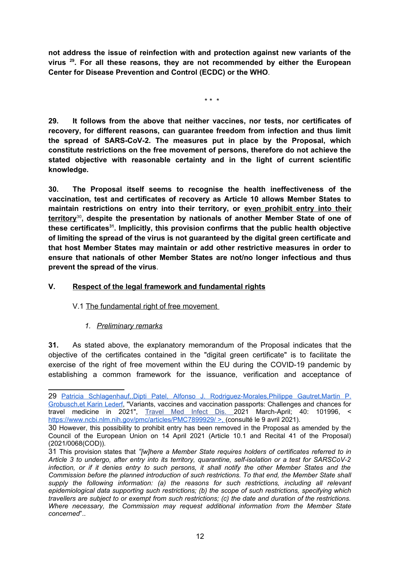**not address the issue of reinfection with and protection against new variants of the virus<sup>29</sup>. For all these reasons, they are not recommended by either the European Center for Disease Prevention and Control (ECDC) or the WHO***.*

\* \* \*

**29. It follows from the above that neither vaccines, nor tests, nor certificates of recovery, for different reasons, can guarantee freedom from infection and thus limit the spread of SARS-CoV-2. The measures put in place by the Proposal, which constitute restrictions on the free movement of persons, therefore do not achieve the stated objective with reasonable certainty and in the light of current scientific knowledge.**

**30. The Proposal itself seems to recognise the health ineffectiveness of the vaccination, test and certificates of recovery as Article 10 allows Member States to maintain restrictions on entry into their territory, or even prohibit entry into their territory**[30](#page-11-1)**, despite the presentation by nationals of another Member State of one of these certificates[31](#page-11-2). Implicitly, this provision confirms that the public health objective of limiting the spread of the virus is not guaranteed by the digital green certificate and that host Member States may maintain or add other restrictive measures in order to ensure that nationals of other Member States are not/no longer infectious and thus prevent the spread of the virus**.

### **V. Respect of the legal framework and fundamental rights**

#### V.1 The fundamental right of free movement

# *1. Preliminary remarks*

**31.** As stated above, the explanatory memorandum of the Proposal indicates that the objective of the certificates contained in the "digital green certificate" is to facilitate the exercise of the right of free movement within the EU during the COVID-19 pandemic by establishing a common framework for the issuance, verification and acceptance of

<span id="page-11-0"></span><sup>29</sup> Patricia Schlagenhauf, Dipti Patel, Alfonso J. Rodriguez-Morales, Philippe Gautret, Martin P. Grobusch,et Karin Lederf, "Variants, vaccines and vaccination passports: Challenges and chances for travel medicine in 2021", Travel Med Infect Dis. 2021 March-April; 40: 101996, < https://www.ncbi.nlm.nih.gov/pmc/articles/PMC7899929/ >, (consulté le 9 avril 2021).

<span id="page-11-1"></span><sup>30</sup> However, this possibility to prohibit entry has been removed in the Proposal as amended by the Council of the European Union on 14 April 2021 (Article 10.1 and Recital 41 of the Proposal) (2021/0068(COD)).

<span id="page-11-2"></span><sup>31</sup> This provision states that *"[w]here a Member State requires holders of certificates referred to in Article 3 to undergo, after entry into its territory, quarantine, self-isolation or a test for SARSCoV-2 infection, or if it denies entry to such persons, it shall notify the other Member States and the Commission before the planned introduction of such restrictions. To that end, the Member State shall supply the following information: (a) the reasons for such restrictions, including all relevant epidemiological data supporting such restrictions; (b) the scope of such restrictions, specifying which travellers are subject to or exempt from such restrictions; (c) the date and duration of the restrictions. Where necessary, the Commission may request additional information from the Member State concerned*"..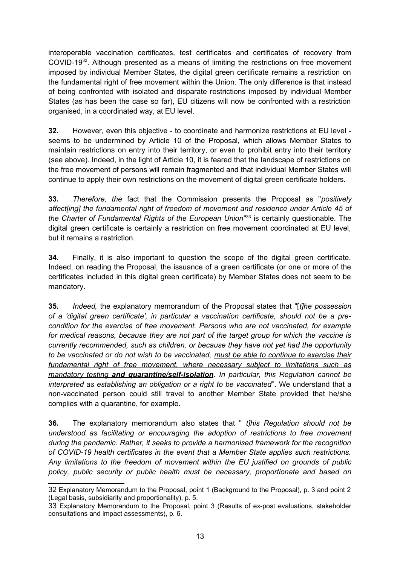interoperable vaccination certificates, test certificates and certificates of recovery from COVID-19[32](#page-12-0). Although presented as a means of limiting the restrictions on free movement imposed by individual Member States, the digital green certificate remains a restriction on the fundamental right of free movement within the Union. The only difference is that instead of being confronted with isolated and disparate restrictions imposed by individual Member States (as has been the case so far), EU citizens will now be confronted with a restriction organised, in a coordinated way, at EU level.

**32.** However, even this objective - to coordinate and harmonize restrictions at EU level seems to be undermined by Article 10 of the Proposal, which allows Member States to maintain restrictions on entry into their territory, or even to prohibit entry into their territory (see above). Indeed, in the light of Article 10, it is feared that the landscape of restrictions on the free movement of persons will remain fragmented and that individual Member States will continue to apply their own restrictions on the movement of digital green certificate holders.

**33.** *Therefore, the* fact that the Commission presents the Proposal as "*positively affect[ing] the fundamental right of freedom of movement and residence under Article 45 of the Charter of Fundamental Rights of the European Union*" [33](#page-12-1) is certainly questionable. The digital green certificate is certainly a restriction on free movement coordinated at EU level, but it remains a restriction.

**34.** Finally, it is also important to question the scope of the digital green certificate. Indeed, on reading the Proposal, the issuance of a green certificate (or one or more of the certificates included in this digital green certificate) by Member States does not seem to be mandatory.

**35.** *Indeed,* the explanatory memorandum of the Proposal states that "[*t]he possession of a 'digital green certificate', in particular a vaccination certificate, should not be a precondition for the exercise of free movement. Persons who are not vaccinated, for example for medical reasons, because they are not part of the target group for which the vaccine is currently recommended, such as children, or because they have not yet had the opportunity to be vaccinated or do not wish to be vaccinated, must be able to continue to exercise their fundamental right of free movement, where necessary subject to limitations such as mandatory testing and quarantine/self-isolation. In particular, this Regulation cannot be interpreted as establishing an obligation or a right to be vaccinated*". We understand that a non-vaccinated person could still travel to another Member State provided that he/she complies with a quarantine, for example.

**36.** The explanatory memorandum also states that " *t]his Regulation should not be understood as facilitating or encouraging the adoption of restrictions to free movement during the pandemic. Rather, it seeks to provide a harmonised framework for the recognition of COVID-19 health certificates in the event that a Member State applies such restrictions. Any limitations to the freedom of movement within the EU justified on grounds of public policy, public security or public health must be necessary, proportionate and based on*

<span id="page-12-0"></span><sup>32</sup> Explanatory Memorandum to the Proposal, point 1 (Background to the Proposal), p. 3 and point 2 (Legal basis, subsidiarity and proportionality), p. 5.

<span id="page-12-1"></span><sup>33</sup> Explanatory Memorandum to the Proposal, point 3 (Results of ex-post evaluations, stakeholder consultations and impact assessments), p. 6.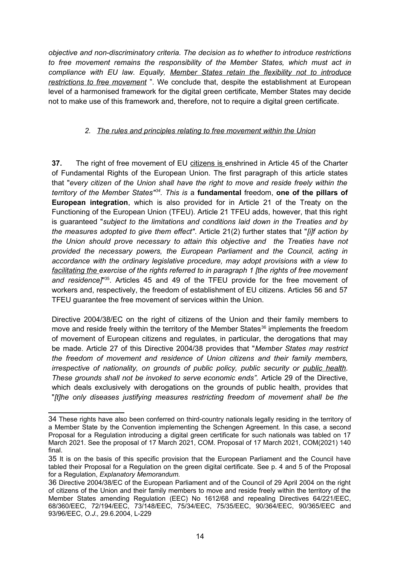*objective and non-discriminatory criteria. The decision as to whether to introduce restrictions to free movement remains the responsibility of the Member States, which must act in compliance with EU law. Equally, Member States retain the flexibility not to introduce restrictions to free movement* ". We conclude that, despite the establishment at European level of a harmonised framework for the digital green certificate, Member States may decide not to make use of this framework and, therefore, not to require a digital green certificate.

### *2. The rules and principles relating to free movement within the Union*

**37.** The right of free movement of EU citizens is enshrined in Article 45 of the Charter of Fundamental Rights of the European Union. The first paragraph of this article states that "*every citizen of the Union shall have the right to move and reside freely within the territory of the Member States"[34](#page-13-0). This is* a **fundamental** freedom, **one of the pillars of European integration**, which is also provided for in Article 21 of the Treaty on the Functioning of the European Union (TFEU). Article 21 TFEU adds, however, that this right is guaranteed "*subject to the limitations and conditions laid down in the Treaties and by the measures adopted to give them effect"*. Article 21(2) further states that "*[i]f action by the Union should prove necessary to attain this objective and the Treaties have not provided the necessary powers, the European Parliament and the Council, acting in accordance with the ordinary legislative procedure, may adopt provisions with a view to facilitating the exercise of the rights referred to in paragraph 1 [the rights of free movement and residence]*" [35](#page-13-1). Articles 45 and 49 of the TFEU provide for the free movement of workers and, respectively, the freedom of establishment of EU citizens. Articles 56 and 57 TFEU guarantee the free movement of services within the Union.

Directive 2004/38/EC on the right of citizens of the Union and their family members to move and reside freely within the territory of the Member States<sup>[36](#page-13-2)</sup> implements the freedom of movement of European citizens and regulates, in particular, the derogations that may be made. Article 27 of this Directive 2004/38 provides that "*Member States may restrict the freedom of movement and residence of Union citizens and their family members, irrespective of nationality, on grounds of public policy, public security or public health. These grounds shall not be invoked to serve economic ends".* Article 29 of the Directive, which deals exclusively with derogations on the grounds of public health, provides that "*[t]he only diseases justifying measures restricting freedom of movement shall be the*

<span id="page-13-0"></span><sup>34</sup> These rights have also been conferred on third-country nationals legally residing in the territory of a Member State by the Convention implementing the Schengen Agreement. In this case, a second Proposal for a Regulation introducing a digital green certificate for such nationals was tabled on 17 March 2021. See the proposal of 17 March 2021, COM. Proposal of 17 March 2021, COM(2021) 140 final.

<span id="page-13-1"></span><sup>35</sup> It is on the basis of this specific provision that the European Parliament and the Council have tabled their Proposal for a Regulation on the green digital certificate. See p. 4 and 5 of the Proposal for a Regulation, *Explanatory Memorandum.*

<span id="page-13-2"></span><sup>36</sup> Directive 2004/38/EC of the European Parliament and of the Council of 29 April 2004 on the right of citizens of the Union and their family members to move and reside freely within the territory of the Member States amending Regulation (EEC) No 1612/68 and repealing Directives 64/221/EEC, 68/360/EEC, 72/194/EEC, 73/148/EEC, 75/34/EEC, 75/35/EEC, 90/364/EEC, 90/365/EEC and 93/96/EEC, *O.J.,* 29.6.2004, L-229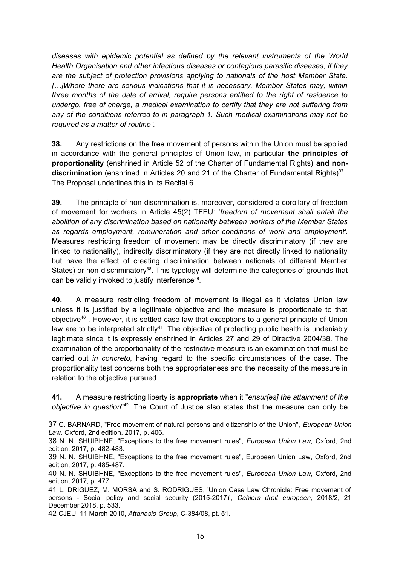*diseases with epidemic potential as defined by the relevant instruments of the World Health Organisation and other infectious diseases or contagious parasitic diseases, if they are the subject of protection provisions applying to nationals of the host Member State. […]Where there are serious indications that it is necessary, Member States may, within three months of the date of arrival, require persons entitled to the right of residence to undergo, free of charge, a medical examination to certify that they are not suffering from any of the conditions referred to in paragraph 1. Such medical examinations may not be required as a matter of routine".* 

**38.** Any restrictions on the free movement of persons within the Union must be applied in accordance with the general principles of Union law, in particular **the principles of proportionality** (enshrined in Article 52 of the Charter of Fundamental Rights) **and non-**discrimination (enshrined in Articles 20 and 21 of the Charter of Fundamental Rights)<sup>[37](#page-14-0)</sup>. The Proposal underlines this in its Recital 6.

**39.** The principle of non-discrimination is, moreover, considered a corollary of freedom of movement for workers in Article 45(2) TFEU: '*freedom of movement shall entail the abolition of any discrimination based on nationality between workers of the Member States as regards employment, remuneration and other conditions of work and employment'.* Measures restricting freedom of movement may be directly discriminatory (if they are linked to nationality), indirectly discriminatory (if they are not directly linked to nationality but have the effect of creating discrimination between nationals of different Member States) or non-discriminatory<sup>[38](#page-14-1)</sup>. This typology will determine the categories of grounds that can be validly invoked to justify interference<sup>[39](#page-14-2)</sup>.

**40.** A measure restricting freedom of movement is illegal as it violates Union law unless it is justified by a legitimate objective and the measure is proportionate to that objective[40](#page-14-3) . However, it is settled case law that exceptions to a general principle of Union law are to be interpreted strictly<sup>[41](#page-14-4)</sup>. The objective of protecting public health is undeniably legitimate since it is expressly enshrined in Articles 27 and 29 of Directive 2004/38. The examination of the proportionality of the restrictive measure is an examination that must be carried out *in concreto*, having regard to the specific circumstances of the case. The proportionality test concerns both the appropriateness and the necessity of the measure in relation to the objective pursued.

**41.** A measure restricting liberty is **appropriate** when it "*ensur[es] the attainment of the objective in question*" [42](#page-14-5). The Court of Justice also states that the measure can only be

<span id="page-14-0"></span><sup>37</sup> C. BARNARD, "Free movement of natural persons and citizenship of the Union", *European Union Law,* Oxford, 2nd edition, 2017, p. 406.

<span id="page-14-1"></span><sup>38</sup> N. N. SHUIBHNE, "Exceptions to the free movement rules", *European Union Law,* Oxford, 2nd edition, 2017, p. 482-483.

<span id="page-14-2"></span><sup>39</sup> N. N. SHUIBHNE, "Exceptions to the free movement rules", European Union Law, Oxford, 2nd edition, 2017, p. 485-487.

<span id="page-14-3"></span><sup>40</sup> N. N. SHUIBHNE, "Exceptions to the free movement rules", *European Union Law,* Oxford, 2nd edition, 2017, p. 477.

<span id="page-14-4"></span><sup>41</sup> L. DRIGUEZ, M. MORSA and S. RODRIGUES, 'Union Case Law Chronicle: Free movement of persons - Social policy and social security (2015-2017)', *Cahiers droit européen,* 2018/2, 21 December 2018, p. 533.

<span id="page-14-5"></span><sup>42</sup> CJEU, 11 March 2010, *Attanasio Group*, C-384/08, pt. 51.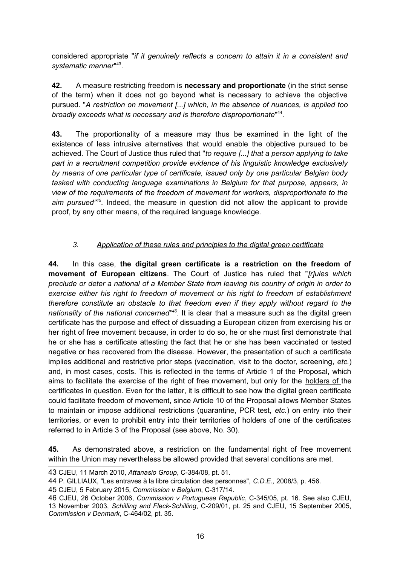considered appropriate "*if it genuinely reflects a concern to attain it in a consistent and systematic manner*" [43](#page-15-0) .

**42.** A measure restricting freedom is **necessary and proportionate** (in the strict sense of the term) when it does not go beyond what is necessary to achieve the objective pursued. "*A restriction on movement [...] which, in the absence of nuances, is applied too* broadly exceeds what is necessary and is therefore disproportionate<sup>"[44](#page-15-1)</sup>.

**43.** The proportionality of a measure may thus be examined in the light of the existence of less intrusive alternatives that would enable the objective pursued to be achieved. The Court of Justice thus ruled that "*to require [...] that a person applying to take part in a recruitment competition provide evidence of his linguistic knowledge exclusively by means of one particular type of certificate, issued only by one particular Belgian body tasked with conducting language examinations in Belgium for that purpose, appears, in view of the requirements of the freedom of movement for workers, disproportionate to the aim pursued"[45](#page-15-2)*. Indeed, the measure in question did not allow the applicant to provide proof, by any other means, of the required language knowledge.

# *3. Application of these rules and principles to the digital green certificate*

**44.** In this case, **the digital green certificate is a restriction on the freedom of movement of European citizens**. The Court of Justice has ruled that "*[r]ules which preclude or deter a national of a Member State from leaving his country of origin in order to exercise either his right to freedom of movement or his right to freedom of establishment therefore constitute an obstacle to that freedom even if they apply without regard to the nationality of the national concerned"[46](#page-15-3)*. It is clear that a measure such as the digital green certificate has the purpose and effect of dissuading a European citizen from exercising his or her right of free movement because, in order to do so, he or she must first demonstrate that he or she has a certificate attesting the fact that he or she has been vaccinated or tested negative or has recovered from the disease. However, the presentation of such a certificate implies additional and restrictive prior steps (vaccination, visit to the doctor, screening*, etc.*) and, in most cases, costs. This is reflected in the terms of Article 1 of the Proposal, which aims to facilitate the exercise of the right of free movement, but only for the holders of the certificates in question. Even for the latter, it is difficult to see how the digital green certificate could facilitate freedom of movement, since Article 10 of the Proposal allows Member States to maintain or impose additional restrictions (quarantine, PCR test, *etc.*) on entry into their territories, or even to prohibit entry into their territories of holders of one of the certificates referred to in Article 3 of the Proposal (see above, No. 30).

**45.** As demonstrated above, a restriction on the fundamental right of free movement within the Union may nevertheless be allowed provided that several conditions are met.

<span id="page-15-0"></span><sup>43</sup> CJEU, 11 March 2010, *Attanasio Group*, C-384/08, pt. 51.

<span id="page-15-1"></span><sup>44</sup> P. GILLIAUX, "Les entraves à la libre circulation des personnes", *C.D.E.,* 2008/3, p. 456.

<span id="page-15-2"></span><sup>45</sup> CJEU, 5 February 2015, *Commission v Belgium*, C-317/14.

<span id="page-15-3"></span><sup>46</sup> CJEU, 26 October 2006, *Commission v Portuguese Republic*, C-345/05, pt. 16. See also CJEU, 13 November 2003, *Schilling and Fleck-Schilling*, C-209/01, pt. 25 and CJEU, 15 September 2005, *Commission v Denmark*, C-464/02, pt. 35.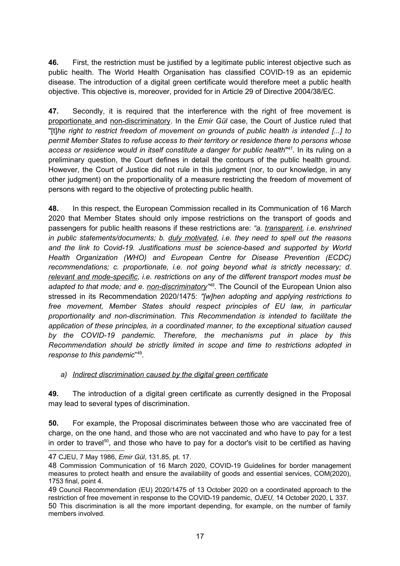**46.** First, the restriction must be justified by a legitimate public interest objective such as public health. The World Health Organisation has classified COVID-19 as an epidemic disease. The introduction of a digital green certificate would therefore meet a public health objective. This objective is, moreover, provided for in Article 29 of Directive 2004/38/EC.

**47.** Secondly, it is required that the interference with the right of free movement is proportionate and non-discriminatory. In the *Emir Gül* case, the Court of Justice ruled that "[t]*he right to restrict freedom of movement on grounds of public health is intended [...] to permit Member States to refuse access to their territory or residence there to persons whose access or residence would in itself constitute a danger for public health*" [47](#page-16-0). In its ruling on a preliminary question, the Court defines in detail the contours of the public health ground. However, the Court of Justice did not rule in this judgment (nor, to our knowledge, in any other judgment) on the proportionality of a measure restricting the freedom of movement of persons with regard to the objective of protecting public health.

**48.** In this respect, the European Commission recalled in its Communication of 16 March 2020 that Member States should only impose restrictions on the transport of goods and passengers for public health reasons if these restrictions are: *"a. transparent, i.e. enshrined in public statements/documents; b. duly motivated, i.e. they need to spell out the reasons and the link to Covid-19. Justifications must be science-based and supported by World Health Organization (WHO) and European Centre for Disease Prevention (ECDC) recommendations; c. proportionate, i.e. not going beyond what is strictly necessary; d. relevant and mode-specific, i.e. restrictions on any of the different transport modes must be adapted to that mode; and e. non-discriminatory" [48](#page-16-1) .* The Council of the European Union also stressed in its Recommendation 2020/1475: *"[w]hen adopting and applying restrictions to free movement, Member States should respect principles of EU law, in particular proportionality and non-discrimination. This Recommendation is intended to facilitate the application of these principles, in a coordinated manner, to the exceptional situation caused by the COVID-19 pandemic. Therefore, the mechanisms put in place by this Recommendation should be strictly limited in scope and time to restrictions adopted in response to this pandemic*" [49](#page-16-2) .

#### *a) Indirect discrimination caused by the digital green certificate*

**49.** The introduction of a digital green certificate as currently designed in the Proposal may lead to several types of discrimination.

**50.** For example, the Proposal discriminates between those who are vaccinated free of charge, on the one hand, and those who are not vaccinated and who have to pay for a test in order to travel<sup>[50](#page-16-3)</sup>, and those who have to pay for a doctor's visit to be certified as having

<span id="page-16-0"></span><sup>47</sup> CJEU, 7 May 1986, *Emir Gül*, 131.85, pt. 17.

<span id="page-16-1"></span><sup>48</sup> Commission Communication of 16 March 2020, COVID-19 Guidelines for border management measures to protect health and ensure the availability of goods and essential services, COM(2020), 1753 final, point 4.

<span id="page-16-2"></span><sup>49</sup> Council Recommendation (EU) 2020/1475 of 13 October 2020 on a coordinated approach to the restriction of free movement in response to the COVID-19 pandemic, *OJEU,* 14 October 2020, L 337.

<span id="page-16-3"></span><sup>50</sup> This discrimination is all the more important depending, for example, on the number of family members involved.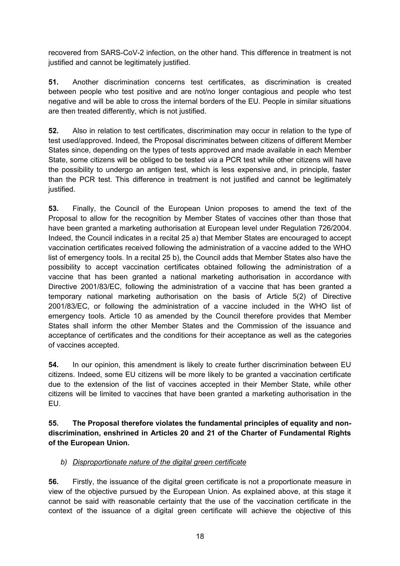recovered from SARS-CoV-2 infection, on the other hand. This difference in treatment is not justified and cannot be legitimately justified.

**51.** Another discrimination concerns test certificates, as discrimination is created between people who test positive and are not/no longer contagious and people who test negative and will be able to cross the internal borders of the EU. People in similar situations are then treated differently, which is not justified.

**52.** Also in relation to test certificates, discrimination may occur in relation to the type of test used/approved. Indeed, the Proposal discriminates between citizens of different Member States since, depending on the types of tests approved and made available in each Member State, some citizens will be obliged to be tested *via* a PCR test while other citizens will have the possibility to undergo an antigen test, which is less expensive and, in principle, faster than the PCR test. This difference in treatment is not justified and cannot be legitimately justified.

**53.** Finally, the Council of the European Union proposes to amend the text of the Proposal to allow for the recognition by Member States of vaccines other than those that have been granted a marketing authorisation at European level under Regulation 726/2004. Indeed, the Council indicates in a recital 25 a) that Member States are encouraged to accept vaccination certificates received following the administration of a vaccine added to the WHO list of emergency tools. In a recital 25 b), the Council adds that Member States also have the possibility to accept vaccination certificates obtained following the administration of a vaccine that has been granted a national marketing authorisation in accordance with Directive 2001/83/EC, following the administration of a vaccine that has been granted a temporary national marketing authorisation on the basis of Article 5(2) of Directive 2001/83/EC, or following the administration of a vaccine included in the WHO list of emergency tools. Article 10 as amended by the Council therefore provides that Member States shall inform the other Member States and the Commission of the issuance and acceptance of certificates and the conditions for their acceptance as well as the categories of vaccines accepted.

**54.** In our opinion, this amendment is likely to create further discrimination between EU citizens. Indeed, some EU citizens will be more likely to be granted a vaccination certificate due to the extension of the list of vaccines accepted in their Member State, while other citizens will be limited to vaccines that have been granted a marketing authorisation in the EU.

**55. The Proposal therefore violates the fundamental principles of equality and nondiscrimination, enshrined in Articles 20 and 21 of the Charter of Fundamental Rights of the European Union.** 

#### *b) Disproportionate nature of the digital green certificate*

**56.** Firstly, the issuance of the digital green certificate is not a proportionate measure in view of the objective pursued by the European Union. As explained above, at this stage it cannot be said with reasonable certainty that the use of the vaccination certificate in the context of the issuance of a digital green certificate will achieve the objective of this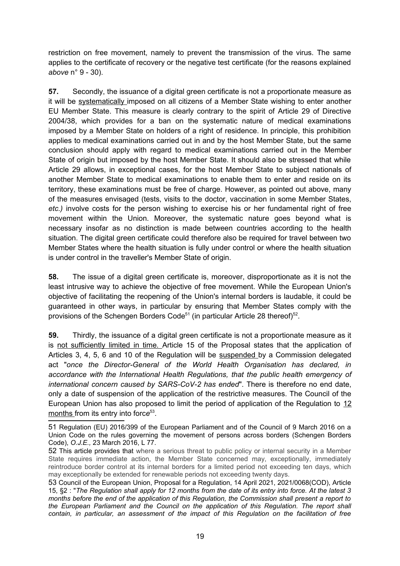restriction on free movement, namely to prevent the transmission of the virus. The same applies to the certificate of recovery or the negative test certificate (for the reasons explained *above* n° 9 - 30).

**57.** Secondly, the issuance of a digital green certificate is not a proportionate measure as it will be systematically imposed on all citizens of a Member State wishing to enter another EU Member State. This measure is clearly contrary to the spirit of Article 29 of Directive 2004/38, which provides for a ban on the systematic nature of medical examinations imposed by a Member State on holders of a right of residence. In principle, this prohibition applies to medical examinations carried out in and by the host Member State, but the same conclusion should apply with regard to medical examinations carried out in the Member State of origin but imposed by the host Member State. It should also be stressed that while Article 29 allows, in exceptional cases, for the host Member State to subject nationals of another Member State to medical examinations to enable them to enter and reside on its territory, these examinations must be free of charge. However, as pointed out above, many of the measures envisaged (tests, visits to the doctor, vaccination in some Member States, *etc.)* involve costs for the person wishing to exercise his or her fundamental right of free movement within the Union. Moreover, the systematic nature goes beyond what is necessary insofar as no distinction is made between countries according to the health situation. The digital green certificate could therefore also be required for travel between two Member States where the health situation is fully under control or where the health situation is under control in the traveller's Member State of origin.

**58.** The issue of a digital green certificate is, moreover, disproportionate as it is not the least intrusive way to achieve the objective of free movement. While the European Union's objective of facilitating the reopening of the Union's internal borders is laudable, it could be guaranteed in other ways, in particular by ensuring that Member States comply with the provisions of the Schengen Borders Code<sup>[51](#page-18-0)</sup> (in particular Article 28 thereof)<sup>[52](#page-18-1)</sup>.

**<sup>59.</sup>** Thirdly, the issuance of a digital green certificate is not a proportionate measure as it is not sufficiently limited in time. Article 15 of the Proposal states that the application of Articles 3, 4, 5, 6 and 10 of the Regulation will be suspended by a Commission delegated act "*once the Director-General of the World Health Organisation has declared, in accordance with the International Health Regulations, that the public health emergency of international concern caused by SARS-CoV-2 has ended*". There is therefore no end date, only a date of suspension of the application of the restrictive measures. The Council of the European Union has also proposed to limit the period of application of the Regulation to 12 months from its entry into forc*e* [53](#page-18-2) .

<span id="page-18-0"></span><sup>51</sup> Regulation (EU) 2016/399 of the European Parliament and of the Council of 9 March 2016 on a Union Code on the rules governing the movement of persons across borders (Schengen Borders Code), *O.J.E.,* 23 March 2016, L 77.

<span id="page-18-1"></span><sup>52</sup> This article provides that where a serious threat to public policy or internal security in a Member State requires immediate action, the Member State concerned may, exceptionally, immediately reintroduce border control at its internal borders for a limited period not exceeding ten days, which may exceptionally be extended for renewable periods not exceeding twenty days.

<span id="page-18-2"></span><sup>53</sup> Council of the European Union, Proposal for a Regulation, 14 April 2021, 2021/0068(COD), Article 15, §2 : "*The Regulation shall apply for 12 months from the date of its entry into force. At the latest 3 months before the end of the application of this Regulation, the Commission shall present a report to the European Parliament and the Council on the application of this Regulation. The report shall contain, in particular, an assessment of the impact of this Regulation on the facilitation of free*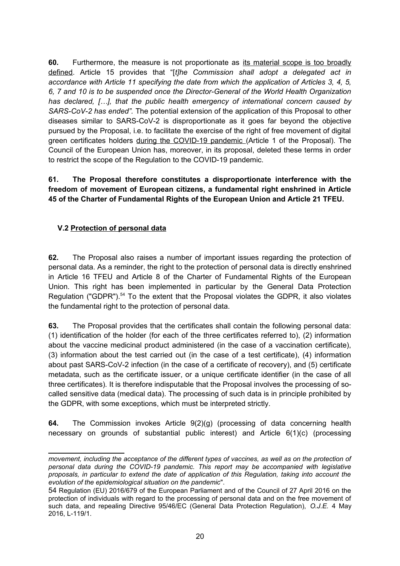**60.** Furthermore, the measure is not proportionate as its material scope is too broadly defined. Article 15 provides that "[*t]he Commission shall adopt a delegated act in accordance with Article 11 specifying the date from which the application of Articles 3, 4, 5, 6, 7 and 10 is to be suspended once the Director-General of the World Health Organization has declared, […], that the public health emergency of international concern caused by SARS-CoV-2 has ended".* The potential extension of the application of this Proposal to other diseases similar to SARS-CoV-2 is disproportionate as it goes far beyond the objective pursued by the Proposal, i.e. to facilitate the exercise of the right of free movement of digital green certificates holders during the COVID-19 pandemic (Article 1 of the Proposal). The Council of the European Union has, moreover, in its proposal, deleted these terms in order to restrict the scope of the Regulation to the COVID-19 pandemic.

### **61. The Proposal therefore constitutes a disproportionate interference with the freedom of movement of European citizens, a fundamental right enshrined in Article 45 of the Charter of Fundamental Rights of the European Union and Article 21 TFEU.**

# **V.2 Protection of personal data**

**62.** The Proposal also raises a number of important issues regarding the protection of personal data. As a reminder, the right to the protection of personal data is directly enshrined in Article 16 TFEU and Article 8 of the Charter of Fundamental Rights of the European Union. This right has been implemented in particular by the General Data Protection Regulation ("GDPR").<sup>[54](#page-19-0)</sup> To the extent that the Proposal violates the GDPR, it also violates the fundamental right to the protection of personal data.

**63.** The Proposal provides that the certificates shall contain the following personal data: (1) identification of the holder (for each of the three certificates referred to), (2) information about the vaccine medicinal product administered (in the case of a vaccination certificate), (3) information about the test carried out (in the case of a test certificate), (4) information about past SARS-CoV-2 infection (in the case of a certificate of recovery), and (5) certificate metadata, such as the certificate issuer, or a unique certificate identifier (in the case of all three certificates). It is therefore indisputable that the Proposal involves the processing of socalled sensitive data (medical data). The processing of such data is in principle prohibited by the GDPR, with some exceptions, which must be interpreted strictly.

**64.** The Commission invokes Article 9(2)(g) (processing of data concerning health necessary on grounds of substantial public interest) and Article 6(1)(c) (processing

*movement, including the acceptance of the different types of vaccines, as well as on the protection of personal data during the COVID-19 pandemic. This report may be accompanied with legislative proposals, in particular to extend the date of application of this Regulation, taking into account the evolution of the epidemiological situation on the pandemic*".

<span id="page-19-0"></span><sup>54</sup> Regulation (EU) 2016/679 of the European Parliament and of the Council of 27 April 2016 on the protection of individuals with regard to the processing of personal data and on the free movement of such data, and repealing Directive 95/46/EC (General Data Protection Regulation), *O.J.E.* 4 May 2016, L-119/1.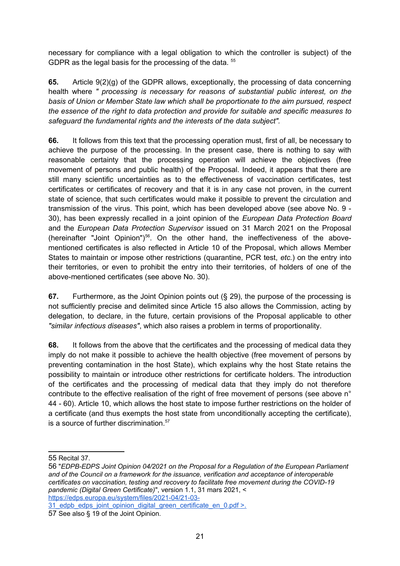necessary for compliance with a legal obligation to which the controller is subject) of the GDPR as the legal basis for the processing of the data. <sup>[55](#page-20-0)</sup>

**65.** Article 9(2)(g) of the GDPR allows, exceptionally, the processing of data concerning health where *" processing is necessary for reasons of substantial public interest, on the basis of Union or Member State law which shall be proportionate to the aim pursued, respect the essence of the right to data protection and provide for suitable and specific measures to safeguard the fundamental rights and the interests of the data subject".* 

**66.** It follows from this text that the processing operation must, first of all, be necessary to achieve the purpose of the processing. In the present case, there is nothing to say with reasonable certainty that the processing operation will achieve the objectives (free movement of persons and public health) of the Proposal. Indeed, it appears that there are still many scientific uncertainties as to the effectiveness of vaccination certificates, test certificates or certificates of recovery and that it is in any case not proven, in the current state of science, that such certificates would make it possible to prevent the circulation and transmission of the virus. This point, which has been developed above (see above No. 9 - 30), has been expressly recalled in a joint opinion of the *European Data Protection Board* and the *European Data Protection Supervisor* issued on 31 March 2021 on the Proposal (hereinafter "Joint Opinion") $56$ . On the other hand, the ineffectiveness of the abovementioned certificates is also reflected in Article 10 of the Proposal, which allows Member States to maintain or impose other restrictions (quarantine, PCR test, *etc.*) on the entry into their territories, or even to prohibit the entry into their territories, of holders of one of the above-mentioned certificates (see above No. 30).

**67.** Furthermore, as the Joint Opinion points out (§ 29), the purpose of the processing is not sufficiently precise and delimited since Article 15 also allows the Commission, acting by delegation, to declare, in the future, certain provisions of the Proposal applicable to other *"similar infectious diseases"*, which also raises a problem in terms of proportionality.

**68.** It follows from the above that the certificates and the processing of medical data they imply do not make it possible to achieve the health objective (free movement of persons by preventing contamination in the host State), which explains why the host State retains the possibility to maintain or introduce other restrictions for certificate holders. The introduction of the certificates and the processing of medical data that they imply do not therefore contribute to the effective realisation of the right of free movement of persons (see above n° 44 - 60). Article 10, which allows the host state to impose further restrictions on the holder of a certificate (and thus exempts the host state from unconditionally accepting the certificate), is a source of further discrimination.<sup>[57](#page-20-2)</sup>

<span id="page-20-0"></span>55 Recital 37.

<span id="page-20-1"></span>56 "*EDPB-EDPS Joint Opinion 04/2021 on the Proposal for a Regulation of the European Parliament and of the Council on a framework for the issuance, verification and acceptance of interoperable certificates on vaccination, testing and recovery to facilitate free movement during the COVID-19 pandemic (Digital Green Certificate)*", version 1.1, 31 mars 2021, < https://edps.europa.eu/system/files/2021-04/21-03-

<sup>31</sup>\_edpb\_edps\_joint\_opinion\_digital\_green\_certificate\_en\_0.pdf >.

<span id="page-20-2"></span><sup>57</sup> See also § 19 of the Joint Opinion.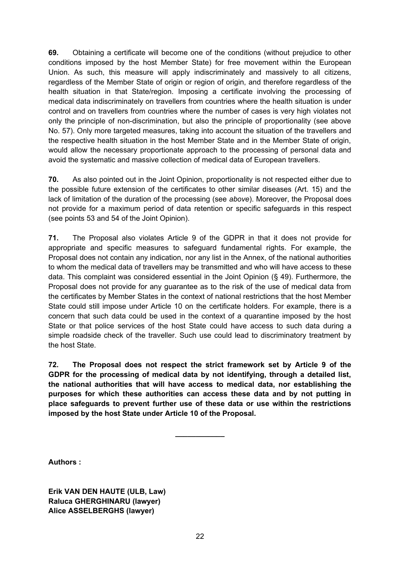**69.** Obtaining a certificate will become one of the conditions (without prejudice to other conditions imposed by the host Member State) for free movement within the European Union. As such, this measure will apply indiscriminately and massively to all citizens, regardless of the Member State of origin or region of origin, and therefore regardless of the health situation in that State/region. Imposing a certificate involving the processing of medical data indiscriminately on travellers from countries where the health situation is under control and on travellers from countries where the number of cases is very high violates not only the principle of non-discrimination, but also the principle of proportionality (see above No. 57). Only more targeted measures, taking into account the situation of the travellers and the respective health situation in the host Member State and in the Member State of origin, would allow the necessary proportionate approach to the processing of personal data and avoid the systematic and massive collection of medical data of European travellers.

**70.** As also pointed out in the Joint Opinion, proportionality is not respected either due to the possible future extension of the certificates to other similar diseases (Art. 15) and the lack of limitation of the duration of the processing (see *above*). Moreover, the Proposal does not provide for a maximum period of data retention or specific safeguards in this respect (see points 53 and 54 of the Joint Opinion).

**71.** The Proposal also violates Article 9 of the GDPR in that it does not provide for appropriate and specific measures to safeguard fundamental rights. For example, the Proposal does not contain any indication, nor any list in the Annex, of the national authorities to whom the medical data of travellers may be transmitted and who will have access to these data. This complaint was considered essential in the Joint Opinion (§ 49). Furthermore, the Proposal does not provide for any guarantee as to the risk of the use of medical data from the certificates by Member States in the context of national restrictions that the host Member State could still impose under Article 10 on the certificate holders. For example, there is a concern that such data could be used in the context of a quarantine imposed by the host State or that police services of the host State could have access to such data during a simple roadside check of the traveller. Such use could lead to discriminatory treatment by the host State.

**72. The Proposal does not respect the strict framework set by Article 9 of the GDPR for the processing of medical data by not identifying, through a detailed list, the national authorities that will have access to medical data, nor establishing the purposes for which these authorities can access these data and by not putting in place safeguards to prevent further use of these data or use within the restrictions imposed by the host State under Article 10 of the Proposal.**

**\_\_\_\_\_\_\_\_\_\_\_\_** 

**Authors :**

**Erik VAN DEN HAUTE (ULB, Law) Raluca GHERGHINARU (lawyer) Alice ASSELBERGHS (lawyer)**